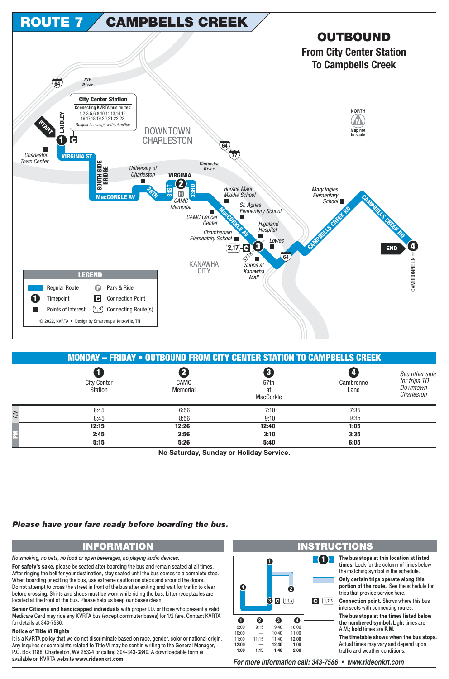

|    | <b>MONDAY - FRIDAY • OUTBOUND FROM CITY CENTER STATION TO CAMPBELLS CREEK</b> |                  |                         |                   |                                                          |  |  |
|----|-------------------------------------------------------------------------------|------------------|-------------------------|-------------------|----------------------------------------------------------|--|--|
|    | <b>City Center</b><br>Station                                                 | CAMC<br>Memorial | 57th<br>at<br>MacCorkle | Cambronne<br>Lane | See other side<br>for trips TO<br>Downtown<br>Charleston |  |  |
| AM | 6:45                                                                          | 6:56             | 7:10                    | 7:35              |                                                          |  |  |
|    | 8:45                                                                          | 8:56             | 9:10                    | 9:35              |                                                          |  |  |
|    | 12:15                                                                         | 12:26            | 12:40                   | 1:05              |                                                          |  |  |
|    | 2:45                                                                          | 2:56             | 3:10                    | 3:35              |                                                          |  |  |
|    | 5:15                                                                          | 5:26             | 5:40                    | 6:05              |                                                          |  |  |

No Saturday, Sunday or Holiday Service.

## Please have your fare ready before boarding the bus.

## **INFORMATION**

No smoking, no pets, no food or open beverages, no playing audio devices.

For safety's sake, please be seated after boarding the bus and remain seated at all times. After ringing the bell for your destination, stay seated until the bus comes to a complete stop. When boarding or exiting the bus, use extreme caution on steps and around the doors. Do not attempt to cross the street in front of the bus after exiting and wait for traffic to clear before crossing. Shirts and shoes must be worn while riding the bus. Litter receptacles are located at the front of the bus. Please help us keep our buses clean!

Senior Citizens and handicapped individuals with proper I.D. or those who present a valid Medicare Card may ride any KVRTA bus (except commuter buses) for 1/2 fare. Contact KVRTA for details at 343-7586.

## **Notice of Title VI Rights**

It is a KVRTA policy that we do not discriminate based on race, gender, color or national origin. Any inquires or complaints related to Title VI may be sent in writing to the General Manager, P.O. Box 1188, Charleston, WV 25324 or calling 304-343-3840. A downloadable form is available on KVRTA website www.rideonkrt.com



For more information call: 343-7586 • www.rideonkrt.com